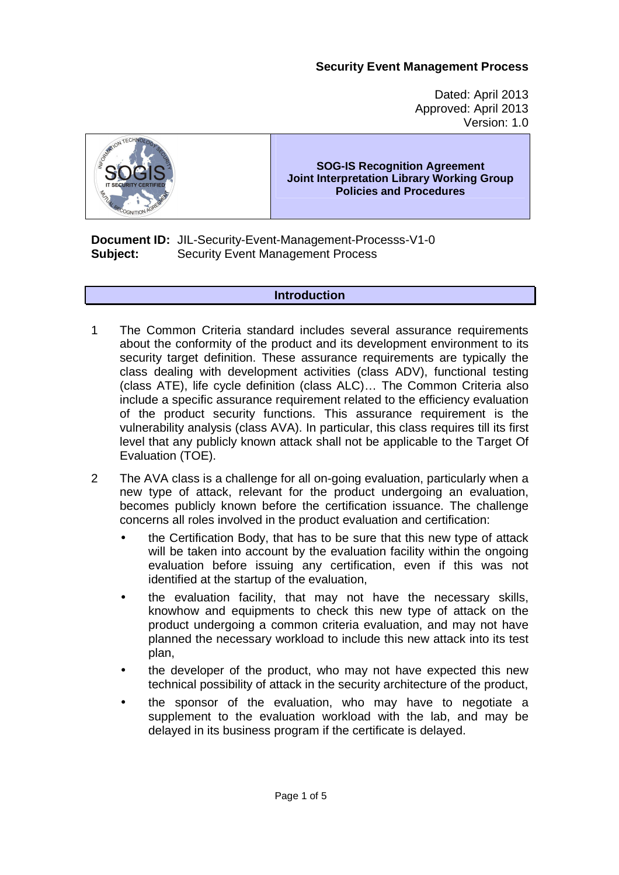## **Security Event Management Process**

Dated: April 2013 Approved: April 2013 Version: 1.0



### **SOG-IS Recognition Agreement Joint Interpretation Library Working Group Policies and Procedures**

**Document ID:** JIL-Security-Event-Management-Processs-V1-0 **Subject:** Security Event Management Process

#### **Introduction**

- 1 The Common Criteria standard includes several assurance requirements about the conformity of the product and its development environment to its security target definition. These assurance requirements are typically the class dealing with development activities (class ADV), functional testing (class ATE), life cycle definition (class ALC)… The Common Criteria also include a specific assurance requirement related to the efficiency evaluation of the product security functions. This assurance requirement is the vulnerability analysis (class AVA). In particular, this class requires till its first level that any publicly known attack shall not be applicable to the Target Of Evaluation (TOE).
- 2 The AVA class is a challenge for all on-going evaluation, particularly when a new type of attack, relevant for the product undergoing an evaluation, becomes publicly known before the certification issuance. The challenge concerns all roles involved in the product evaluation and certification:
	- the Certification Body, that has to be sure that this new type of attack will be taken into account by the evaluation facility within the ongoing evaluation before issuing any certification, even if this was not identified at the startup of the evaluation,
	- the evaluation facility, that may not have the necessary skills, knowhow and equipments to check this new type of attack on the product undergoing a common criteria evaluation, and may not have planned the necessary workload to include this new attack into its test plan,
	- the developer of the product, who may not have expected this new technical possibility of attack in the security architecture of the product,
	- the sponsor of the evaluation, who may have to negotiate a supplement to the evaluation workload with the lab, and may be delayed in its business program if the certificate is delayed.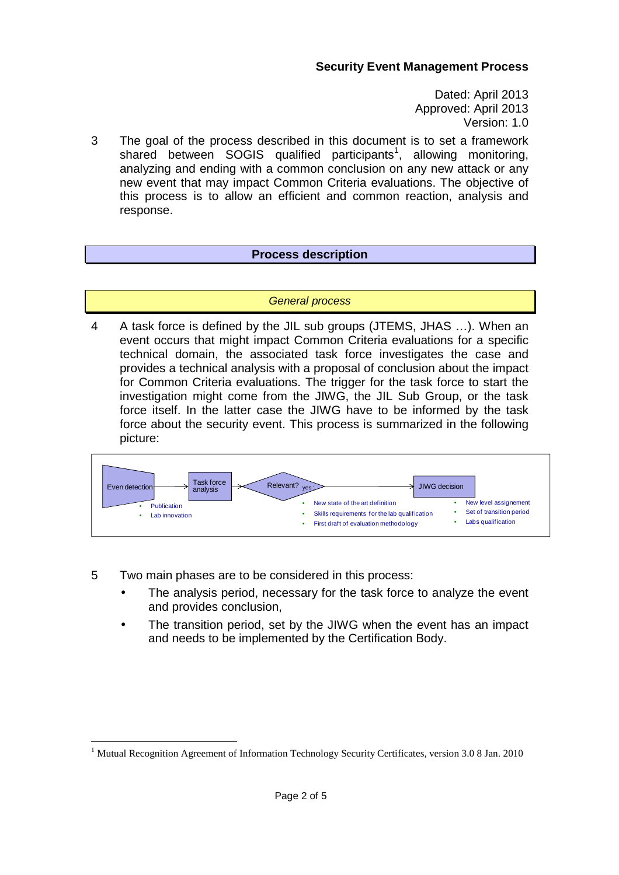Dated: April 2013 Approved: April 2013 Version: 1.0

3 The goal of the process described in this document is to set a framework shared between SOGIS qualified participants<sup>1</sup>, allowing monitoring, analyzing and ending with a common conclusion on any new attack or any new event that may impact Common Criteria evaluations. The objective of this process is to allow an efficient and common reaction, analysis and response.

### **Process description**

#### General process

4 A task force is defined by the JIL sub groups (JTEMS, JHAS …). When an event occurs that might impact Common Criteria evaluations for a specific technical domain, the associated task force investigates the case and provides a technical analysis with a proposal of conclusion about the impact for Common Criteria evaluations. The trigger for the task force to start the investigation might come from the JIWG, the JIL Sub Group, or the task force itself. In the latter case the JIWG have to be informed by the task force about the security event. This process is summarized in the following picture:



5 Two main phases are to be considered in this process:

-

- The analysis period, necessary for the task force to analyze the event and provides conclusion,
- The transition period, set by the JIWG when the event has an impact and needs to be implemented by the Certification Body.

<sup>&</sup>lt;sup>1</sup> Mutual Recognition Agreement of Information Technology Security Certificates, version 3.0 8 Jan. 2010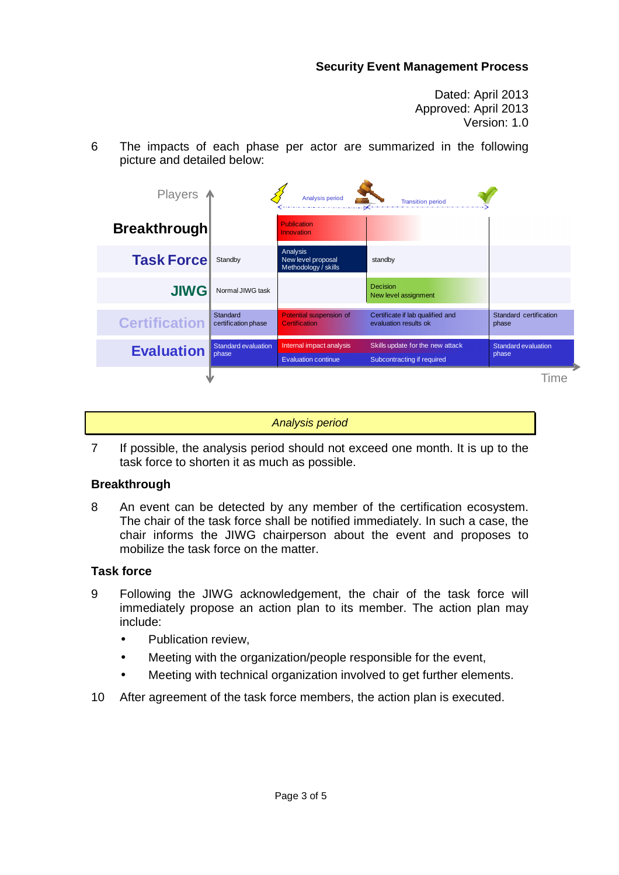## **Security Event Management Process**

Dated: April 2013 Approved: April 2013 Version: 1.0

6 The impacts of each phase per actor are summarized in the following picture and detailed below:

| Players $\uparrow$   |                                     | Analysis period                                        | <b>Transition period</b>                                       |                                 |
|----------------------|-------------------------------------|--------------------------------------------------------|----------------------------------------------------------------|---------------------------------|
| <b>Breakthrough</b>  |                                     | <b>Publication</b><br>Innovation                       |                                                                |                                 |
| <b>Task Forcel</b>   | Standby                             | Analysis<br>New level proposal<br>Methodology / skills | standby                                                        |                                 |
| <b>JIWG</b>          | Normal JIWG task                    |                                                        | <b>Decision</b><br>New level assignment                        |                                 |
| <b>Certification</b> | Standard<br>certification phase     | Potential suspension of<br>Certification               | Certificate if lab qualified and<br>evaluation results ok      | Standard certification<br>phase |
| <b>Evaluation</b>    | <b>Standard evaluation</b><br>phase | Internal impact analysis<br><b>Evaluation continue</b> | Skills update for the new attack<br>Subcontracting if required | Standard evaluation<br>phase    |
|                      |                                     |                                                        |                                                                | <b>lime</b>                     |

Analysis period

7 If possible, the analysis period should not exceed one month. It is up to the task force to shorten it as much as possible.

### **Breakthrough**

8 An event can be detected by any member of the certification ecosystem. The chair of the task force shall be notified immediately. In such a case, the chair informs the JIWG chairperson about the event and proposes to mobilize the task force on the matter.

### **Task force**

- 9 Following the JIWG acknowledgement, the chair of the task force will immediately propose an action plan to its member. The action plan may include:
	- Publication review.
	- Meeting with the organization/people responsible for the event,
	- Meeting with technical organization involved to get further elements.
- 10 After agreement of the task force members, the action plan is executed.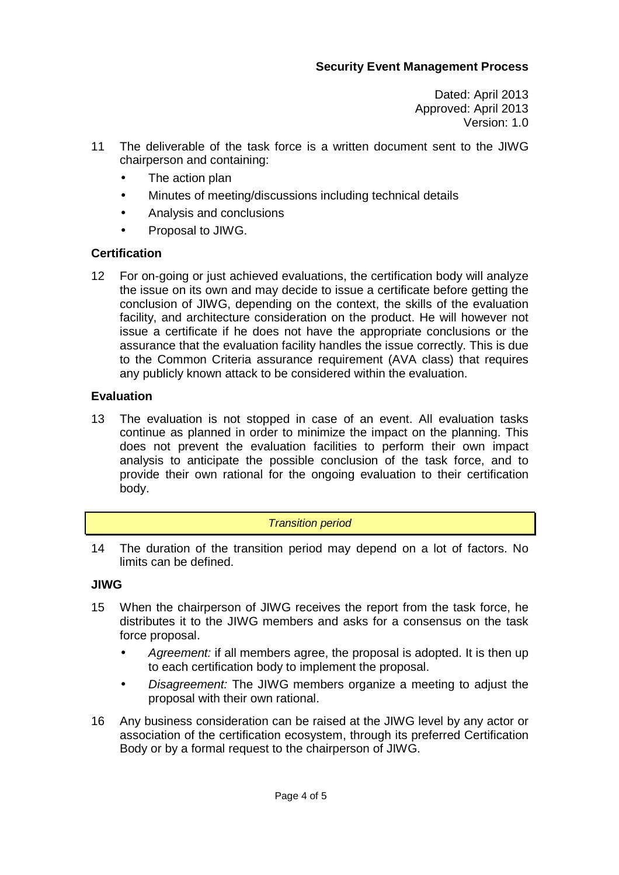Dated: April 2013 Approved: April 2013 Version: 1.0

- 11 The deliverable of the task force is a written document sent to the JIWG chairperson and containing:
	- The action plan
	- Minutes of meeting/discussions including technical details
	- Analysis and conclusions
	- Proposal to JIWG.

# **Certification**

12 For on-going or just achieved evaluations, the certification body will analyze the issue on its own and may decide to issue a certificate before getting the conclusion of JIWG, depending on the context, the skills of the evaluation facility, and architecture consideration on the product. He will however not issue a certificate if he does not have the appropriate conclusions or the assurance that the evaluation facility handles the issue correctly. This is due to the Common Criteria assurance requirement (AVA class) that requires any publicly known attack to be considered within the evaluation.

# **Evaluation**

13 The evaluation is not stopped in case of an event. All evaluation tasks continue as planned in order to minimize the impact on the planning. This does not prevent the evaluation facilities to perform their own impact analysis to anticipate the possible conclusion of the task force, and to provide their own rational for the ongoing evaluation to their certification body.

### Transition period

14 The duration of the transition period may depend on a lot of factors. No limits can be defined.

# **JIWG**

- 15 When the chairperson of JIWG receives the report from the task force, he distributes it to the JIWG members and asks for a consensus on the task force proposal.
	- Agreement: if all members agree, the proposal is adopted. It is then up to each certification body to implement the proposal.
	- Disagreement: The JIWG members organize a meeting to adjust the proposal with their own rational.
- 16 Any business consideration can be raised at the JIWG level by any actor or association of the certification ecosystem, through its preferred Certification Body or by a formal request to the chairperson of JIWG.